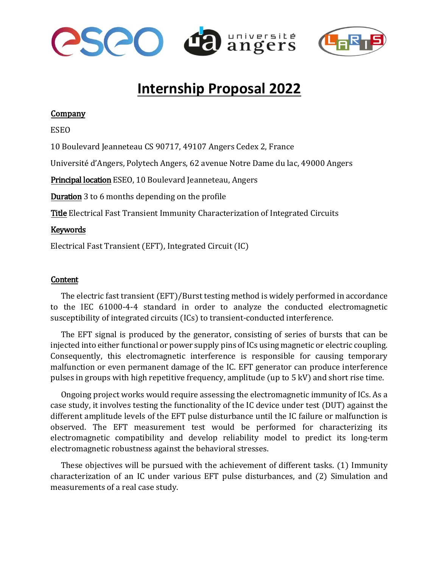



# **Internship Proposal 2022**

#### **Company**

ESEO

10 Boulevard Jeanneteau CS 90717, 49107 Angers Cedex 2, France

Université d'Angers, Polytech Angers, 62 avenue Notre Dame du lac, 49000 Angers

Principal location ESEO, 10 Boulevard Jeanneteau, Angers

Duration 3 to 6 months depending on the profile

Title Electrical Fast Transient Immunity Characterization of Integrated Circuits

## Keywords

Electrical Fast Transient (EFT), Integrated Circuit (IC)

#### **Content**

The electric fast transient (EFT)/Burst testing method is widely performed in accordance to the IEC 61000-4-4 standard in order to analyze the conducted electromagnetic susceptibility of integrated circuits (ICs) to transient-conducted interference.

The EFT signal is produced by the generator, consisting of series of bursts that can be injected into either functional or power supply pins of ICs using magnetic or electric coupling. Consequently, this electromagnetic interference is responsible for causing temporary malfunction or even permanent damage of the IC. EFT generator can produce interference pulses in groups with high repetitive frequency, amplitude (up to 5 kV) and short rise time.

Ongoing project works would require assessing the electromagnetic immunity of ICs. As a case study, it involves testing the functionality of the IC device under test (DUT) against the different amplitude levels of the EFT pulse disturbance until the IC failure or malfunction is observed. The EFT measurement test would be performed for characterizing its electromagnetic compatibility and develop reliability model to predict its long-term electromagnetic robustness against the behavioral stresses.

These objectives will be pursued with the achievement of different tasks. (1) Immunity characterization of an IC under various EFT pulse disturbances, and (2) Simulation and measurements of a real case study.